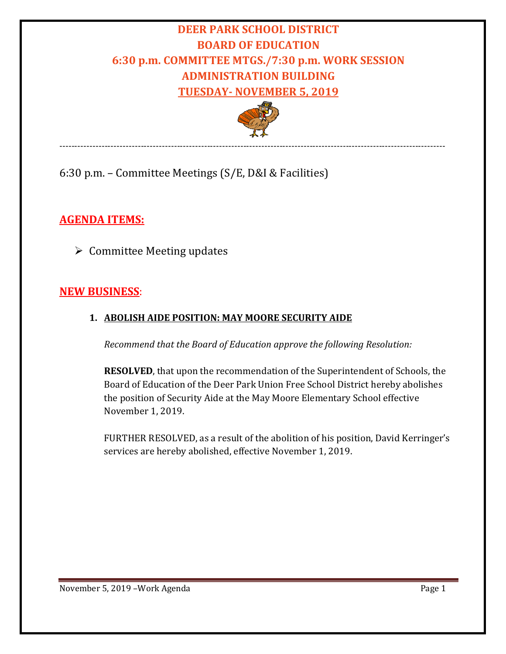# **DEER PARK SCHOOL DISTRICT BOARD OF EDUCATION 6:30 p.m. COMMITTEE MTGS./7:30 p.m. WORK SESSION ADMINISTRATION BUILDING TUESDAY- NOVEMBER 5, 2019**



--------------------------------------------------------------------------------------------------------------------------------

## 6:30 p.m. – Committee Meetings (S/E, D&I & Facilities)

## **AGENDA ITEMS:**

 $\triangleright$  Committee Meeting updates

## **NEW BUSINESS**:

### **1. ABOLISH AIDE POSITION: MAY MOORE SECURITY AIDE**

*Recommend that the Board of Education approve the following Resolution:*

**RESOLVED**, that upon the recommendation of the Superintendent of Schools, the Board of Education of the Deer Park Union Free School District hereby abolishes the position of Security Aide at the May Moore Elementary School effective November 1, 2019.

FURTHER RESOLVED, as a result of the abolition of his position, David Kerringer's services are hereby abolished, effective November 1, 2019.